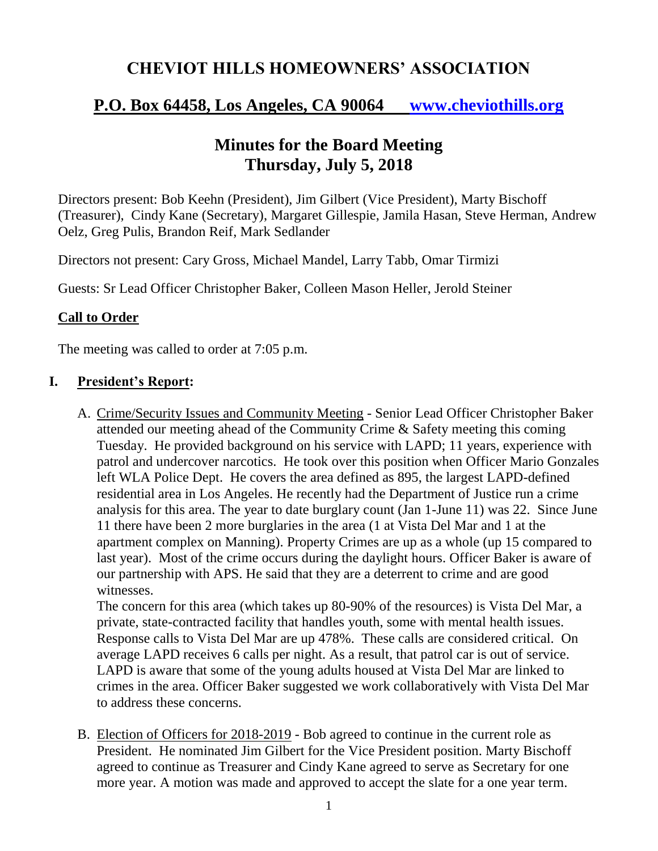# **CHEVIOT HILLS HOMEOWNERS' ASSOCIATION**

# **P.O. Box 64458, Los Angeles, CA 90064 [www.cheviothills.org](http://www.cheviothills.org/)**

## **Minutes for the Board Meeting Thursday, July 5, 2018**

Directors present: Bob Keehn (President), Jim Gilbert (Vice President), Marty Bischoff (Treasurer), Cindy Kane (Secretary), Margaret Gillespie, Jamila Hasan, Steve Herman, Andrew Oelz, Greg Pulis, Brandon Reif, Mark Sedlander

Directors not present: Cary Gross, Michael Mandel, Larry Tabb, Omar Tirmizi

Guests: Sr Lead Officer Christopher Baker, Colleen Mason Heller, Jerold Steiner

### **Call to Order**

The meeting was called to order at 7:05 p.m.

### **I. President's Report:**

A. Crime/Security Issues and Community Meeting - Senior Lead Officer Christopher Baker attended our meeting ahead of the Community Crime & Safety meeting this coming Tuesday. He provided background on his service with LAPD; 11 years, experience with patrol and undercover narcotics. He took over this position when Officer Mario Gonzales left WLA Police Dept. He covers the area defined as 895, the largest LAPD-defined residential area in Los Angeles. He recently had the Department of Justice run a crime analysis for this area. The year to date burglary count (Jan 1-June 11) was 22. Since June 11 there have been 2 more burglaries in the area (1 at Vista Del Mar and 1 at the apartment complex on Manning). Property Crimes are up as a whole (up 15 compared to last year). Most of the crime occurs during the daylight hours. Officer Baker is aware of our partnership with APS. He said that they are a deterrent to crime and are good witnesses.

The concern for this area (which takes up 80-90% of the resources) is Vista Del Mar, a private, state-contracted facility that handles youth, some with mental health issues. Response calls to Vista Del Mar are up 478%. These calls are considered critical. On average LAPD receives 6 calls per night. As a result, that patrol car is out of service. LAPD is aware that some of the young adults housed at Vista Del Mar are linked to crimes in the area. Officer Baker suggested we work collaboratively with Vista Del Mar to address these concerns.

B. Election of Officers for 2018-2019 - Bob agreed to continue in the current role as President. He nominated Jim Gilbert for the Vice President position. Marty Bischoff agreed to continue as Treasurer and Cindy Kane agreed to serve as Secretary for one more year. A motion was made and approved to accept the slate for a one year term.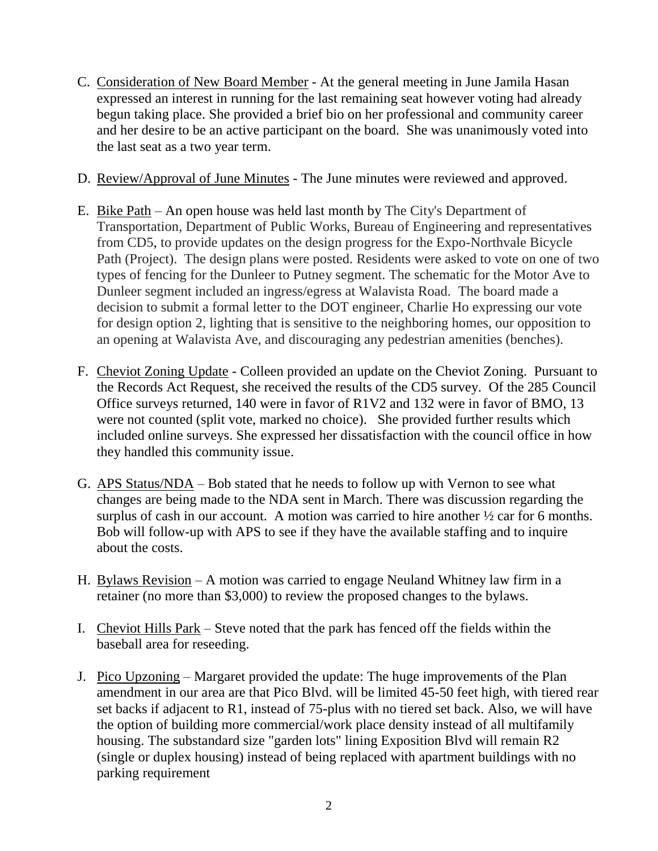- C. Consideration of New Board Member At the general meeting in June Jamila Hasan expressed an interest in running for the last remaining seat however voting had already begun taking place. She provided a brief bio on her professional and community career and her desire to be an active participant on the board. She was unanimously voted into the last seat as a two year term.
- D. Review/Approval of June Minutes The June minutes were reviewed and approved.
- E. Bike Path An open house was held last month by The City's Department of Transportation, Department of Public Works, Bureau of Engineering and representatives from CD5, to provide updates on the design progress for the Expo-Northvale Bicycle Path (Project). The design plans were posted. Residents were asked to vote on one of two types of fencing for the Dunleer to Putney segment. The schematic for the Motor Ave to Dunleer segment included an ingress/egress at Walavista Road. The board made a decision to submit a formal letter to the DOT engineer, Charlie Ho expressing our vote for design option 2, lighting that is sensitive to the neighboring homes, our opposition to an opening at Walavista Ave, and discouraging any pedestrian amenities (benches).
- F. Cheviot Zoning Update Colleen provided an update on the Cheviot Zoning. Pursuant to the Records Act Request, she received the results of the CD5 survey. Of the 285 Council Office surveys returned, 140 were in favor of R1V2 and 132 were in favor of BMO, 13 were not counted (split vote, marked no choice). She provided further results which included online surveys. She expressed her dissatisfaction with the council office in how they handled this community issue.
- G. APS Status/NDA Bob stated that he needs to follow up with Vernon to see what changes are being made to the NDA sent in March. There was discussion regarding the surplus of cash in our account. A motion was carried to hire another  $\frac{1}{2}$  car for 6 months. Bob will follow-up with APS to see if they have the available staffing and to inquire about the costs.
- H. Bylaws Revision A motion was carried to engage Neuland Whitney law firm in a retainer (no more than \$3,000) to review the proposed changes to the bylaws.
- I. Cheviot Hills Park Steve noted that the park has fenced off the fields within the baseball area for reseeding.
- J. Pico Upzoning Margaret provided the update: The huge improvements of the Plan amendment in our area are that Pico Blvd. will be limited 45-50 feet high, with tiered rear set backs if adjacent to R1, instead of 75-plus with no tiered set back. Also, we will have the option of building more commercial/work place density instead of all multifamily housing. The substandard size "garden lots" lining Exposition Blvd will remain R2 (single or duplex housing) instead of being replaced with apartment buildings with no parking requirement